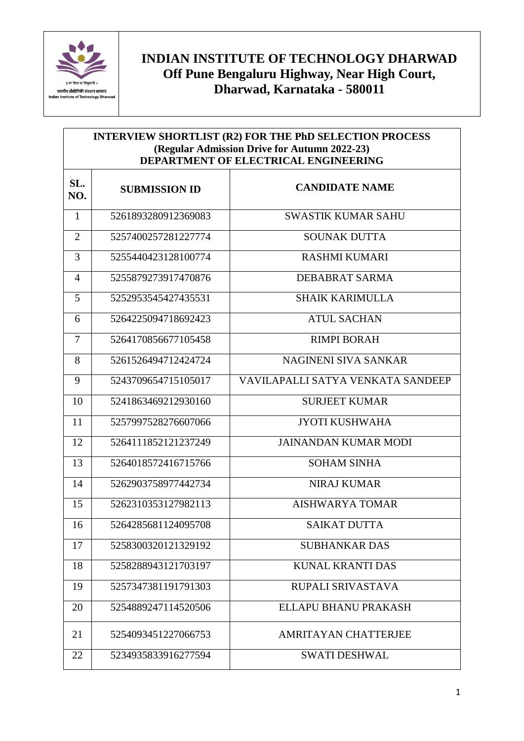

## **INDIAN INSTITUTE OF TECHNOLOGY DHARWAD Off Pune Bengaluru Highway, Near High Court, Dharwad, Karnataka - 580011**

| INTERVIEW SHORTLIST (R2) FOR THE PhD SELECTION PROCESS<br>(Regular Admission Drive for Autumn 2022-23)<br>DEPARTMENT OF ELECTRICAL ENGINEERING |                      |                                   |
|------------------------------------------------------------------------------------------------------------------------------------------------|----------------------|-----------------------------------|
| SL.<br>NO.                                                                                                                                     | <b>SUBMISSION ID</b> | <b>CANDIDATE NAME</b>             |
| $\mathbf{1}$                                                                                                                                   | 5261893280912369083  | <b>SWASTIK KUMAR SAHU</b>         |
| $\overline{2}$                                                                                                                                 | 5257400257281227774  | <b>SOUNAK DUTTA</b>               |
| 3                                                                                                                                              | 5255440423128100774  | <b>RASHMI KUMARI</b>              |
| $\overline{4}$                                                                                                                                 | 5255879273917470876  | DEBABRAT SARMA                    |
| 5                                                                                                                                              | 5252953545427435531  | <b>SHAIK KARIMULLA</b>            |
| 6                                                                                                                                              | 5264225094718692423  | <b>ATUL SACHAN</b>                |
| $\overline{7}$                                                                                                                                 | 5264170856677105458  | <b>RIMPI BORAH</b>                |
| 8                                                                                                                                              | 5261526494712424724  | NAGINENI SIVA SANKAR              |
| 9                                                                                                                                              | 5243709654715105017  | VAVILAPALLI SATYA VENKATA SANDEEP |
| 10                                                                                                                                             | 5241863469212930160  | <b>SURJEET KUMAR</b>              |
| 11                                                                                                                                             | 5257997528276607066  | <b>JYOTI KUSHWAHA</b>             |
| 12                                                                                                                                             | 5264111852121237249  | <b>JAINANDAN KUMAR MODI</b>       |
| 13                                                                                                                                             | 5264018572416715766  | <b>SOHAM SINHA</b>                |
| 14                                                                                                                                             | 5262903758977442734  | <b>NIRAJ KUMAR</b>                |
| 15                                                                                                                                             | 5262310353127982113  | <b>AISHWARYA TOMAR</b>            |
| 16                                                                                                                                             | 5264285681124095708  | <b>SAIKAT DUTTA</b>               |
| 17                                                                                                                                             | 5258300320121329192  | <b>SUBHANKAR DAS</b>              |
| 18                                                                                                                                             | 5258288943121703197  | <b>KUNAL KRANTI DAS</b>           |
| 19                                                                                                                                             | 5257347381191791303  | RUPALI SRIVASTAVA                 |
| 20                                                                                                                                             | 5254889247114520506  | ELLAPU BHANU PRAKASH              |
| 21                                                                                                                                             | 5254093451227066753  | AMRITAYAN CHATTERJEE              |
| 22                                                                                                                                             | 5234935833916277594  | <b>SWATI DESHWAL</b>              |